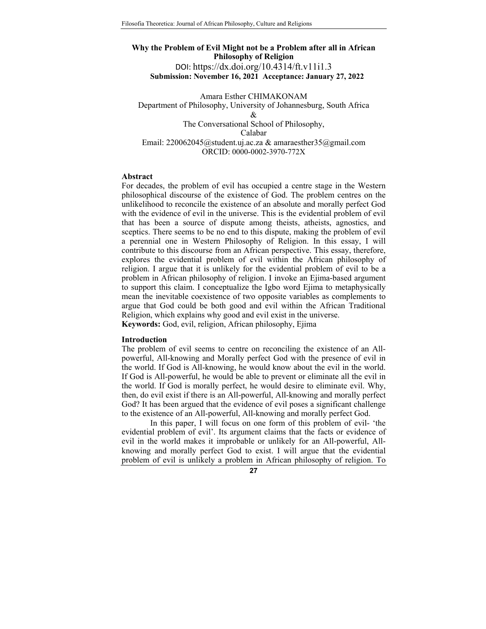# **Why the Problem of Evil Might not be a Problem after all in African Philosophy of Religion**  DOI: https://dx.doi.org/10.4314/ft.v11i1.3 **Submission: November 16, 2021 Acceptance: January 27, 2022**

Amara Esther CHIMAKONAM Department of Philosophy, University of Johannesburg, South Africa & The Conversational School of Philosophy, Calabar Email: 220062045@student.uj.ac.za & amaraesther35@gmail.com ORCID: 0000-0002-3970-772X

#### **Abstract**

For decades, the problem of evil has occupied a centre stage in the Western philosophical discourse of the existence of God. The problem centres on the unlikelihood to reconcile the existence of an absolute and morally perfect God with the evidence of evil in the universe. This is the evidential problem of evil that has been a source of dispute among theists, atheists, agnostics, and sceptics. There seems to be no end to this dispute, making the problem of evil a perennial one in Western Philosophy of Religion. In this essay, I will contribute to this discourse from an African perspective. This essay, therefore, explores the evidential problem of evil within the African philosophy of religion. I argue that it is unlikely for the evidential problem of evil to be a problem in African philosophy of religion. I invoke an Ejima*-*based argument to support this claim. I conceptualize the Igbo word Ejima to metaphysically mean the inevitable coexistence of two opposite variables as complements to argue that God could be both good and evil within the African Traditional Religion, which explains why good and evil exist in the universe. **Keywords:** God, evil, religion, African philosophy, Ejima

## **Introduction**

The problem of evil seems to centre on reconciling the existence of an Allpowerful, All-knowing and Morally perfect God with the presence of evil in the world. If God is All-knowing, he would know about the evil in the world. If God is All-powerful, he would be able to prevent or eliminate all the evil in the world. If God is morally perfect, he would desire to eliminate evil. Why, then, do evil exist if there is an All-powerful, All-knowing and morally perfect God? It has been argued that the evidence of evil poses a significant challenge to the existence of an All-powerful, All-knowing and morally perfect God.

In this paper, I will focus on one form of this problem of evil- 'the evidential problem of evil'. Its argument claims that the facts or evidence of evil in the world makes it improbable or unlikely for an All-powerful, Allknowing and morally perfect God to exist. I will argue that the evidential problem of evil is unlikely a problem in African philosophy of religion. To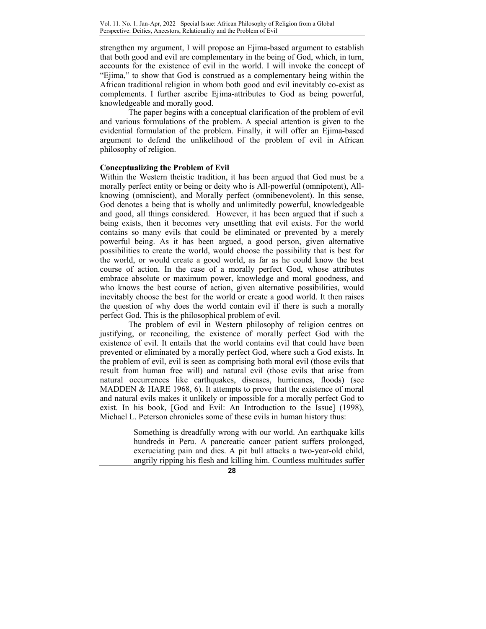strengthen my argument, I will propose an Ejima-based argument to establish that both good and evil are complementary in the being of God, which, in turn, accounts for the existence of evil in the world. I will invoke the concept of "Ejima," to show that God is construed as a complementary being within the African traditional religion in whom both good and evil inevitably co-exist as complements. I further ascribe Ejima-attributes to God as being powerful, knowledgeable and morally good.

The paper begins with a conceptual clarification of the problem of evil and various formulations of the problem. A special attention is given to the evidential formulation of the problem. Finally, it will offer an Ejima-based argument to defend the unlikelihood of the problem of evil in African philosophy of religion.

## **Conceptualizing the Problem of Evil**

Within the Western theistic tradition, it has been argued that God must be a morally perfect entity or being or deity who is All-powerful (omnipotent), Allknowing (omniscient), and Morally perfect (omnibenevolent). In this sense, God denotes a being that is wholly and unlimitedly powerful, knowledgeable and good, all things considered. However, it has been argued that if such a being exists, then it becomes very unsettling that evil exists. For the world contains so many evils that could be eliminated or prevented by a merely powerful being. As it has been argued, a good person, given alternative possibilities to create the world, would choose the possibility that is best for the world, or would create a good world, as far as he could know the best course of action. In the case of a morally perfect God, whose attributes embrace absolute or maximum power, knowledge and moral goodness, and who knows the best course of action, given alternative possibilities, would inevitably choose the best for the world or create a good world. It then raises the question of why does the world contain evil if there is such a morally perfect God. This is the philosophical problem of evil.

The problem of evil in Western philosophy of religion centres on justifying, or reconciling, the existence of morally perfect God with the existence of evil. It entails that the world contains evil that could have been prevented or eliminated by a morally perfect God, where such a God exists. In the problem of evil, evil is seen as comprising both moral evil (those evils that result from human free will) and natural evil (those evils that arise from natural occurrences like earthquakes, diseases, hurricanes, floods) (see MADDEN & HARE 1968, 6). It attempts to prove that the existence of moral and natural evils makes it unlikely or impossible for a morally perfect God to exist. In his book, [God and Evil: An Introduction to the Issue] (1998), Michael L. Peterson chronicles some of these evils in human history thus:

> Something is dreadfully wrong with our world. An earthquake kills hundreds in Peru. A pancreatic cancer patient suffers prolonged, excruciating pain and dies. A pit bull attacks a two-year-old child, angrily ripping his flesh and killing him. Countless multitudes suffer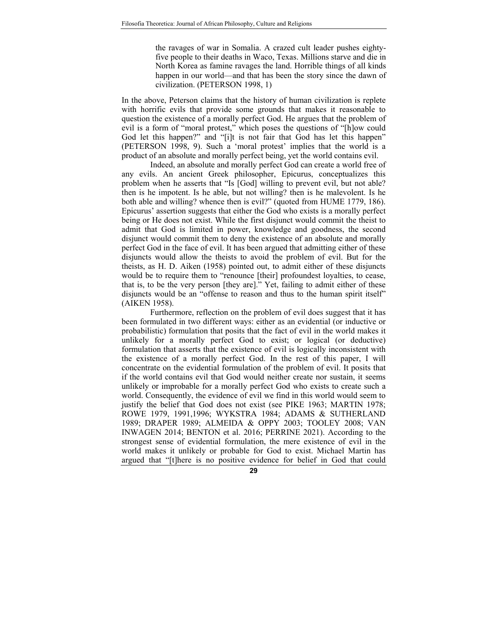the ravages of war in Somalia. A crazed cult leader pushes eightyfive people to their deaths in Waco, Texas. Millions starve and die in North Korea as famine ravages the land. Horrible things of all kinds happen in our world—and that has been the story since the dawn of civilization. (PETERSON 1998, 1)

In the above, Peterson claims that the history of human civilization is replete with horrific evils that provide some grounds that makes it reasonable to question the existence of a morally perfect God. He argues that the problem of evil is a form of "moral protest," which poses the questions of "[h]ow could God let this happen?" and "[i]t is not fair that God has let this happen" (PETERSON 1998, 9). Such a 'moral protest' implies that the world is a product of an absolute and morally perfect being, yet the world contains evil.

 Indeed, an absolute and morally perfect God can create a world free of any evils. An ancient Greek philosopher, Epicurus, conceptualizes this problem when he asserts that "Is [God] willing to prevent evil, but not able? then is he impotent. Is he able, but not willing? then is he malevolent. Is he both able and willing? whence then is evil?" (quoted from HUME 1779, 186). Epicurus' assertion suggests that either the God who exists is a morally perfect being or He does not exist. While the first disjunct would commit the theist to admit that God is limited in power, knowledge and goodness, the second disjunct would commit them to deny the existence of an absolute and morally perfect God in the face of evil. It has been argued that admitting either of these disjuncts would allow the theists to avoid the problem of evil. But for the theists, as H. D. Aiken (1958) pointed out, to admit either of these disjuncts would be to require them to "renounce [their] profoundest loyalties, to cease, that is, to be the very person [they are]." Yet, failing to admit either of these disjuncts would be an "offense to reason and thus to the human spirit itself" (AIKEN 1958).

Furthermore, reflection on the problem of evil does suggest that it has been formulated in two different ways: either as an evidential (or inductive or probabilistic) formulation that posits that the fact of evil in the world makes it unlikely for a morally perfect God to exist; or logical (or deductive) formulation that asserts that the existence of evil is logically inconsistent with the existence of a morally perfect God. In the rest of this paper, I will concentrate on the evidential formulation of the problem of evil. It posits that if the world contains evil that God would neither create nor sustain, it seems unlikely or improbable for a morally perfect God who exists to create such a world. Consequently, the evidence of evil we find in this world would seem to justify the belief that God does not exist (see PIKE 1963; MARTIN 1978; ROWE 1979, 1991,1996; WYKSTRA 1984; ADAMS & SUTHERLAND 1989; DRAPER 1989; ALMEIDA & OPPY 2003; TOOLEY 2008; VAN INWAGEN 2014; BENTON et al. 2016; PERRINE 2021). According to the strongest sense of evidential formulation, the mere existence of evil in the world makes it unlikely or probable for God to exist. Michael Martin has argued that "[t]here is no positive evidence for belief in God that could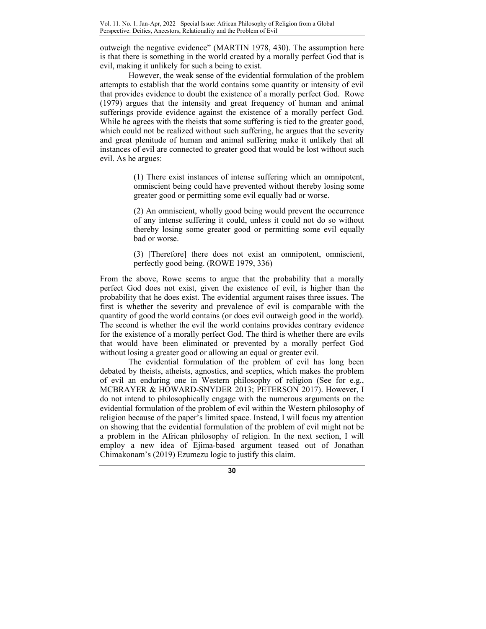outweigh the negative evidence" (MARTIN 1978, 430). The assumption here is that there is something in the world created by a morally perfect God that is evil, making it unlikely for such a being to exist.

However, the weak sense of the evidential formulation of the problem attempts to establish that the world contains some quantity or intensity of evil that provides evidence to doubt the existence of a morally perfect God. Rowe (1979) argues that the intensity and great frequency of human and animal sufferings provide evidence against the existence of a morally perfect God. While he agrees with the theists that some suffering is tied to the greater good, which could not be realized without such suffering, he argues that the severity and great plenitude of human and animal suffering make it unlikely that all instances of evil are connected to greater good that would be lost without such evil. As he argues:

> (1) There exist instances of intense suffering which an omnipotent, omniscient being could have prevented without thereby losing some greater good or permitting some evil equally bad or worse.

> (2) An omniscient, wholly good being would prevent the occurrence of any intense suffering it could, unless it could not do so without thereby losing some greater good or permitting some evil equally bad or worse.

> (3) [Therefore] there does not exist an omnipotent, omniscient, perfectly good being. (ROWE 1979, 336)

From the above, Rowe seems to argue that the probability that a morally perfect God does not exist, given the existence of evil, is higher than the probability that he does exist. The evidential argument raises three issues. The first is whether the severity and prevalence of evil is comparable with the quantity of good the world contains (or does evil outweigh good in the world). The second is whether the evil the world contains provides contrary evidence for the existence of a morally perfect God. The third is whether there are evils that would have been eliminated or prevented by a morally perfect God without losing a greater good or allowing an equal or greater evil.

The evidential formulation of the problem of evil has long been debated by theists, atheists, agnostics, and sceptics, which makes the problem of evil an enduring one in Western philosophy of religion (See for e.g., MCBRAYER & HOWARD-SNYDER 2013; PETERSON 2017). However, I do not intend to philosophically engage with the numerous arguments on the evidential formulation of the problem of evil within the Western philosophy of religion because of the paper's limited space. Instead, I will focus my attention on showing that the evidential formulation of the problem of evil might not be a problem in the African philosophy of religion. In the next section, I will employ a new idea of Ejima-based argument teased out of Jonathan Chimakonam's (2019) Ezumezu logic to justify this claim.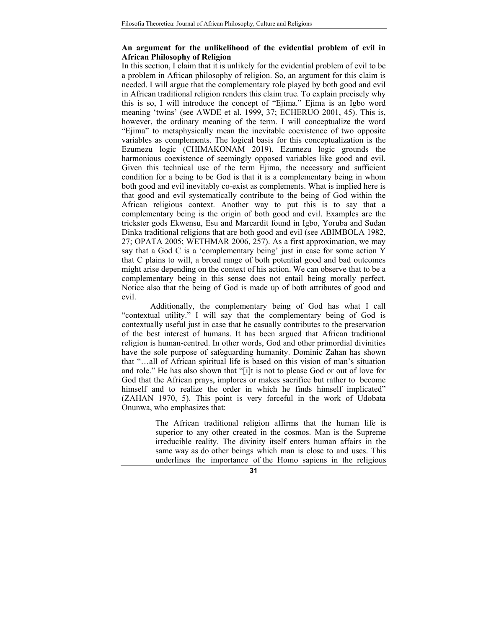## **An argument for the unlikelihood of the evidential problem of evil in African Philosophy of Religion**

In this section, I claim that it is unlikely for the evidential problem of evil to be a problem in African philosophy of religion. So, an argument for this claim is needed. I will argue that the complementary role played by both good and evil in African traditional religion renders this claim true. To explain precisely why this is so, I will introduce the concept of "Ejima." Ejima is an Igbo word meaning 'twins' (see AWDE et al. 1999, 37; ECHERUO 2001, 45). This is, however, the ordinary meaning of the term. I will conceptualize the word "Ejima" to metaphysically mean the inevitable coexistence of two opposite variables as complements. The logical basis for this conceptualization is the Ezumezu logic (CHIMAKONAM 2019). Ezumezu logic grounds the harmonious coexistence of seemingly opposed variables like good and evil. Given this technical use of the term Ejima, the necessary and sufficient condition for a being to be God is that it is a complementary being in whom both good and evil inevitably co-exist as complements. What is implied here is that good and evil systematically contribute to the being of God within the African religious context. Another way to put this is to say that a complementary being is the origin of both good and evil. Examples are the trickster gods Ekwensu, Esu and Marcardit found in Igbo, Yoruba and Sudan Dinka traditional religions that are both good and evil (see ABIMBOLA 1982, 27; OPATA 2005; WETHMAR 2006, 257). As a first approximation, we may say that a God C is a 'complementary being' just in case for some action Y that C plains to will, a broad range of both potential good and bad outcomes might arise depending on the context of his action. We can observe that to be a complementary being in this sense does not entail being morally perfect. Notice also that the being of God is made up of both attributes of good and evil.

Additionally, the complementary being of God has what I call "contextual utility." I will say that the complementary being of God is contextually useful just in case that he casually contributes to the preservation of the best interest of humans. It has been argued that African traditional religion is human-centred. In other words, God and other primordial divinities have the sole purpose of safeguarding humanity. Dominic Zahan has shown that "…all of African spiritual life is based on this vision of man's situation and role." He has also shown that "[i]t is not to please God or out of love for God that the African prays, implores or makes sacrifice but rather to become himself and to realize the order in which he finds himself implicated" (ZAHAN 1970, 5). This point is very forceful in the work of Udobata Onunwa, who emphasizes that:

> The African traditional religion affirms that the human life is superior to any other created in the cosmos. Man is the Supreme irreducible reality. The divinity itself enters human affairs in the same way as do other beings which man is close to and uses. This underlines the importance of the Homo sapiens in the religious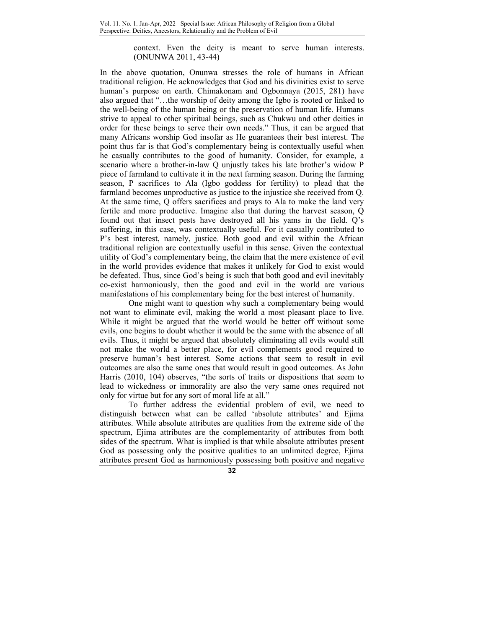context. Even the deity is meant to serve human interests. (ONUNWA 2011, 43-44)

In the above quotation, Onunwa stresses the role of humans in African traditional religion. He acknowledges that God and his divinities exist to serve human's purpose on earth. Chimakonam and Ogbonnaya (2015, 281) have also argued that "…the worship of deity among the Igbo is rooted or linked to the well-being of the human being or the preservation of human life. Humans strive to appeal to other spiritual beings, such as Chukwu and other deities in order for these beings to serve their own needs." Thus, it can be argued that many Africans worship God insofar as He guarantees their best interest. The point thus far is that God's complementary being is contextually useful when he casually contributes to the good of humanity. Consider, for example, a scenario where a brother-in-law Q unjustly takes his late brother's widow P piece of farmland to cultivate it in the next farming season. During the farming season, P sacrifices to Ala (Igbo goddess for fertility) to plead that the farmland becomes unproductive as justice to the injustice she received from Q. At the same time, Q offers sacrifices and prays to Ala to make the land very fertile and more productive. Imagine also that during the harvest season, Q found out that insect pests have destroyed all his yams in the field. Q's suffering, in this case, was contextually useful. For it casually contributed to P's best interest, namely, justice. Both good and evil within the African traditional religion are contextually useful in this sense. Given the contextual utility of God's complementary being, the claim that the mere existence of evil in the world provides evidence that makes it unlikely for God to exist would be defeated. Thus, since God's being is such that both good and evil inevitably co-exist harmoniously, then the good and evil in the world are various manifestations of his complementary being for the best interest of humanity.

One might want to question why such a complementary being would not want to eliminate evil, making the world a most pleasant place to live. While it might be argued that the world would be better off without some evils, one begins to doubt whether it would be the same with the absence of all evils. Thus, it might be argued that absolutely eliminating all evils would still not make the world a better place, for evil complements good required to preserve human's best interest. Some actions that seem to result in evil outcomes are also the same ones that would result in good outcomes. As John Harris (2010, 104) observes, "the sorts of traits or dispositions that seem to lead to wickedness or immorality are also the very same ones required not only for virtue but for any sort of moral life at all."

To further address the evidential problem of evil, we need to distinguish between what can be called 'absolute attributes' and Ejima attributes. While absolute attributes are qualities from the extreme side of the spectrum, Ejima attributes are the complementarity of attributes from both sides of the spectrum. What is implied is that while absolute attributes present God as possessing only the positive qualities to an unlimited degree, Ejima attributes present God as harmoniously possessing both positive and negative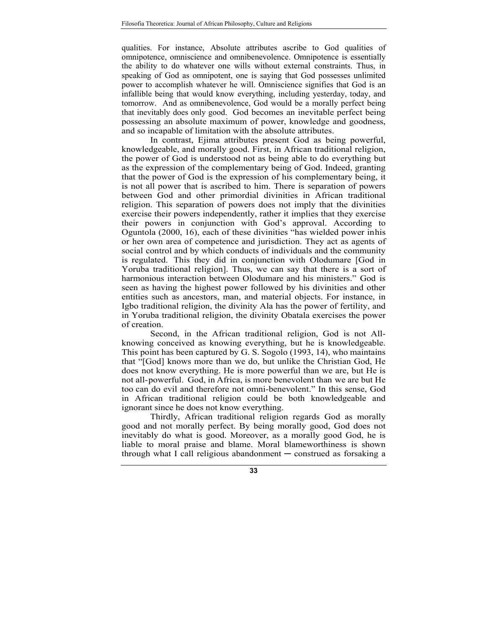qualities. For instance, Absolute attributes ascribe to God qualities of omnipotence, omniscience and omnibenevolence. Omnipotence is essentially the ability to do whatever one wills without external constraints. Thus, in speaking of God as omnipotent, one is saying that God possesses unlimited power to accomplish whatever he will. Omniscience signifies that God is an infallible being that would know everything, including yesterday, today, and tomorrow. And as omnibenevolence, God would be a morally perfect being that inevitably does only good. God becomes an inevitable perfect being possessing an absolute maximum of power, knowledge and goodness, and so incapable of limitation with the absolute attributes.

In contrast, Ejima attributes present God as being powerful, knowledgeable, and morally good. First, in African traditional religion, the power of God is understood not as being able to do everything but as the expression of the complementary being of God. Indeed, granting that the power of God is the expression of his complementary being, it is not all power that is ascribed to him. There is separation of powers between God and other primordial divinities in African traditional religion. This separation of powers does not imply that the divinities exercise their powers independently, rather it implies that they exercise their powers in conjunction with God's approval. According to Oguntola (2000, 16), each of these divinities "has wielded power in his or her own area of competence and jurisdiction. They act as agents of social control and by which conducts of individuals and the community is regulated. This they did in conjunction with Olodumare [God in Yoruba traditional religion]. Thus, we can say that there is a sort of harmonious interaction between Olodumare and his ministers." God is seen as having the highest power followed by his divinities and other entities such as ancestors, man, and material objects. For instance, in Igbo traditional religion, the divinity Ala has the power of fertility, and in Yoruba traditional religion, the divinity Obatala exercises the power of creation.

Second, in the African traditional religion, God is not Allknowing conceived as knowing everything, but he is knowledgeable. This point has been captured by G. S. Sogolo (1993, 14), who maintains that "[God] knows more than we do, but unlike the Christian God, He does not know everything. He is more powerful than we are, but He is not all- powerful. God, in Africa, is more benevolent than we are but He too can do evil and therefore not omni-benevolent." In this sense, God in African traditional religion could be both knowledgeable and ignorant since he does not know everything.

Thirdly, African traditional religion regards God as morally good and not morally perfect. By being morally good, God does not inevitably do what is good. Moreover, as a morally good God, he is liable to moral praise and blame. Moral blameworthiness is shown through what I call religious abandonment - construed as forsaking a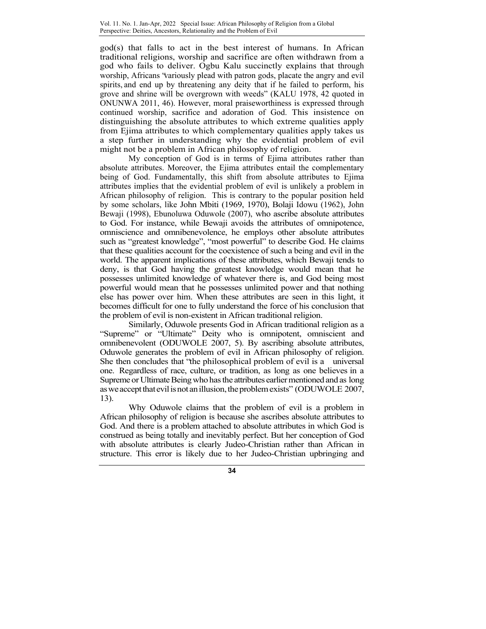god(s) that falls to act in the best interest of humans. In African traditional religions, worship and sacrifice are often withdrawn from a god who fails to deliver. Ogbu Kalu succinctly explains that through worship, Africans "variously plead with patron gods, placate the angry and evil spirits, and end up by threatening any deity that if he failed to perform, his grove and shrine will be overgrown with weeds" (KALU 1978, 42 quoted in ONUNWA 2011, 46). However, moral praiseworthiness is expressed through continued worship, sacrifice and adoration of God. This insistence on distinguishing the absolute attributes to which extreme qualities apply from Ejima attributes to which complementary qualities apply takes us a step further in understanding why the evidential problem of evil might not be a problem in African philosophy of religion.

My conception of God is in terms of Ejima attributes rather than absolute attributes. Moreover, the Ejima attributes entail the complementary being of God. Fundamentally, this shift from absolute attributes to Ejima attributes implies that the evidential problem of evil is unlikely a problem in African philosophy of religion. This is contrary to the popular position held by some scholars, like John Mbiti (1969, 1970), Bolaji Idowu (1962), John Bewaji (1998), Ebunoluwa Oduwole (2007), who ascribe absolute attributes to God. For instance, while Bewaji avoids the attributes of omnipotence, omniscience and omnibenevolence, he employs other absolute attributes such as "greatest knowledge", "most powerful" to describe God. He claims that these qualities account for the coexistence of such a being and evil in the world. The apparent implications of these attributes, which Bewaji tends to deny, is that God having the greatest knowledge would mean that he possesses unlimited knowledge of whatever there is, and God being most powerful would mean that he possesses unlimited power and that nothing else has power over him. When these attributes are seen in this light, it becomes difficult for one to fully understand the force of his conclusion that the problem of evil is non-existent in African traditional religion.

Similarly, Oduwole presents God in African traditional religion as a "Supreme" or "Ultimate" Deity who is omnipotent, omniscient and omnibenevolent (ODUWOLE 2007, 5). By ascribing absolute attributes, Oduwole generates the problem of evil in African philosophy of religion. She then concludes that "the philosophical problem of evil is a universal one. Regardless of race, culture, or tradition, as long as one believes in a Supreme or Ultimate Being who has the attributes earlier mentioned and as long as we accept that evil is not an illusion, the problem exists" (ODUWOLE 2007, 13).

Why Oduwole claims that the problem of evil is a problem in African philosophy of religion is because she ascribes absolute attributes to God. And there is a problem attached to absolute attributes in which God is construed as being totally and inevitably perfect. But her conception of God with absolute attributes is clearly Judeo-Christian rather than African in structure. This error is likely due to her Judeo-Christian upbringing and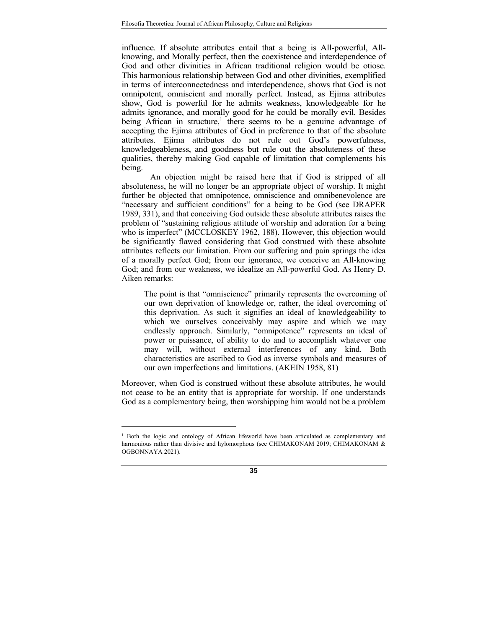influence. If absolute attributes entail that a being is All-powerful, Allknowing, and Morally perfect, then the coexistence and interdependence of God and other divinities in African traditional religion would be otiose. This harmonious relationship between God and other divinities, exemplified in terms of interconnectedness and interdependence, shows that God is not omnipotent, omniscient and morally perfect. Instead, as Ejima attributes show, God is powerful for he admits weakness, knowledgeable for he admits ignorance, and morally good for he could be morally evil. Besides being African in structure,<sup>1</sup> there seems to be a genuine advantage of accepting the Ejima attributes of God in preference to that of the absolute attributes. Ejima attributes do not rule out God's powerfulness, knowledgeableness, and goodness but rule out the absoluteness of these qualities, thereby making God capable of limitation that complements his being.

An objection might be raised here that if God is stripped of all absoluteness, he will no longer be an appropriate object of worship. It might further be objected that omnipotence, omniscience and omnibenevolence are "necessary and sufficient conditions" for a being to be God (see DRAPER 1989, 331), and that conceiving God outside these absolute attributes raises the problem of "sustaining religious attitude of worship and adoration for a being who is imperfect" (MCCLOSKEY 1962, 188). However, this objection would be significantly flawed considering that God construed with these absolute attributes reflects our limitation. From our suffering and pain springs the idea of a morally perfect God; from our ignorance, we conceive an All-knowing God; and from our weakness, we idealize an All-powerful God. As Henry D. Aiken remarks:

The point is that "omniscience" primarily represents the overcoming of our own deprivation of knowledge or, rather, the ideal overcoming of this deprivation. As such it signifies an ideal of knowledgeability to which we ourselves conceivably may aspire and which we may endlessly approach. Similarly, "omnipotence" represents an ideal of power or puissance, of ability to do and to accomplish whatever one may will, without external interferences of any kind. Both characteristics are ascribed to God as inverse symbols and measures of our own imperfections and limitations. (AKEIN 1958, 81)

Moreover, when God is construed without these absolute attributes, he would not cease to be an entity that is appropriate for worship. If one understands God as a complementary being, then worshipping him would not be a problem

<u>.</u>

<sup>&</sup>lt;sup>1</sup> Both the logic and ontology of African lifeworld have been articulated as complementary and harmonious rather than divisive and hylomorphous (see CHIMAKONAM 2019; CHIMAKONAM & OGBONNAYA 2021).

**<sup>35</sup>**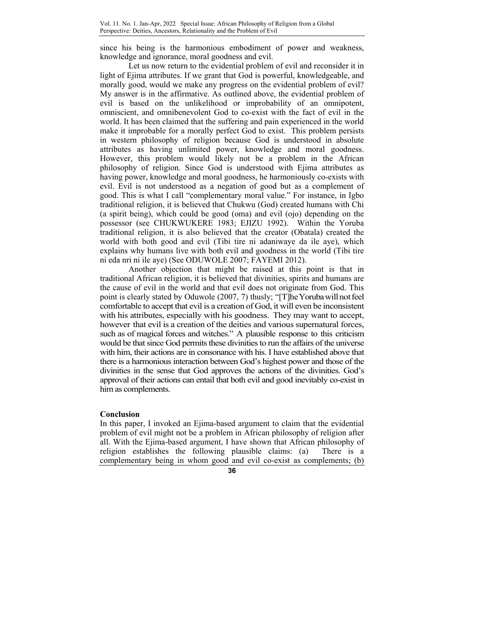since his being is the harmonious embodiment of power and weakness, knowledge and ignorance, moral goodness and evil.

Let us now return to the evidential problem of evil and reconsider it in light of Ejima attributes. If we grant that God is powerful, knowledgeable, and morally good, would we make any progress on the evidential problem of evil? My answer is in the affirmative. As outlined above, the evidential problem of evil is based on the unlikelihood or improbability of an omnipotent, omniscient, and omnibenevolent God to co-exist with the fact of evil in the world. It has been claimed that the suffering and pain experienced in the world make it improbable for a morally perfect God to exist. This problem persists in western philosophy of religion because God is understood in absolute attributes as having unlimited power, knowledge and moral goodness. However, this problem would likely not be a problem in the African philosophy of religion. Since God is understood with Ejima attributes as having power, knowledge and moral goodness, he harmoniously co-exists with evil. Evil is not understood as a negation of good but as a complement of good. This is what I call "complementary moral value." For instance, in Igbo traditional religion, it is believed that Chukwu (God) created humans with Chi (a spirit being), which could be good (oma) and evil (ojo) depending on the possessor (see CHUKWUKERE 1983; EJIZU 1992). Within the Yoruba traditional religion, it is also believed that the creator (Obatala) created the world with both good and evil (Tibi tire ni adaniwaye da ile aye), which explains why humans live with both evil and goodness in the world (Tibi tire ni eda nri ni ile aye) (See ODUWOLE 2007; FAYEMI 2012).

Another objection that might be raised at this point is that in traditional African religion, it is believed that divinities, spirits and humans are the cause of evil in the world and that evil does not originate from God. This point is clearly stated by Oduwole (2007, 7) thusly; "[T]he Yoruba will not feel comfortable to accept that evil is a creation of God, it will even be inconsistent with his attributes, especially with his goodness. They may want to accept, however that evil is a creation of the deities and various supernatural forces, such as of magical forces and witches." A plausible response to this criticism would be that since God permits these divinities to run the affairs of the universe with him, their actions are in consonance with his. I have established above that there is a harmonious interaction between God's highest power and those of the divinities in the sense that God approves the actions of the divinities. God's approval of their actions can entail that both evil and good inevitably co-exist in him as complements.

#### **Conclusion**

In this paper, I invoked an Ejima-based argument to claim that the evidential problem of evil might not be a problem in African philosophy of religion after all. With the Ejima-based argument, I have shown that African philosophy of religion establishes the following plausible claims: (a) There is a complementary being in whom good and evil co-exist as complements; (b)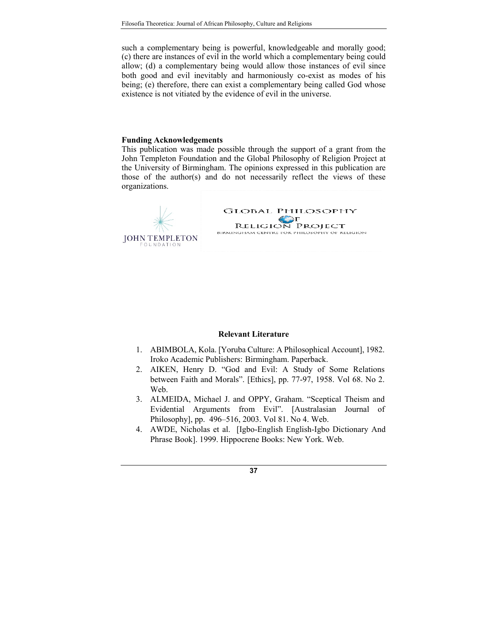such a complementary being is powerful, knowledgeable and morally good; (c) there are instances of evil in the world which a complementary being could allow; (d) a complementary being would allow those instances of evil since both good and evil inevitably and harmoniously co-exist as modes of his being; (e) therefore, there can exist a complementary being called God whose existence is not vitiated by the evidence of evil in the universe.

## **Funding Acknowledgements**

This publication was made possible through the support of a grant from the John Templeton Foundation and the Global Philosophy of Religion Project at the University of Birmingham. The opinions expressed in this publication are those of the author(s) and do not necessarily reflect the views of these organizations.



### **Relevant Literature**

- 1. ABIMBOLA, Kola. [Yoruba Culture: A Philosophical Account], 1982. Iroko Academic Publishers: Birmingham. Paperback.
- 2. AIKEN, Henry D. "God and Evil: A Study of Some Relations between Faith and Morals". [Ethics], pp. 77-97, 1958. Vol 68. No 2. Web.
- 3. ALMEIDA, Michael J. and OPPY, Graham. "Sceptical Theism and Evidential Arguments from Evil". [Australasian Journal of Philosophy], pp. 496–516, 2003. Vol 81. No 4. Web.
- 4. AWDE, Nicholas et al. [Igbo-English English-Igbo Dictionary And Phrase Book]. 1999. Hippocrene Books: New York. Web.

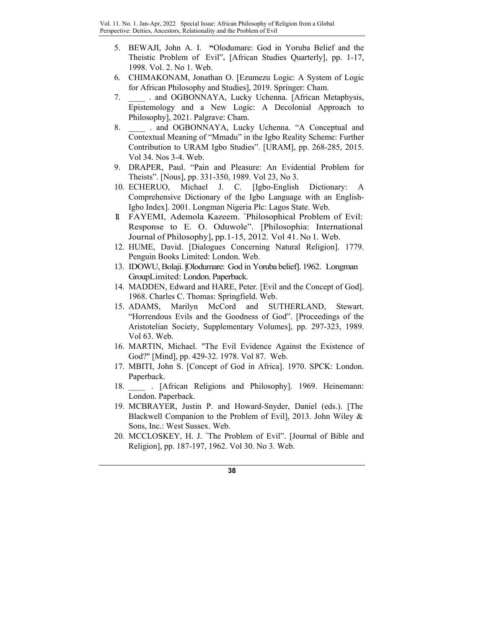- 5. BEWAJI, John A. I. **"**Olodumare: God in Yoruba Belief and the Theistic Problem of Evil"**.** [African Studies Quarterly], pp. 1-17, 1998. Vol. 2. No 1. Web.
- 6. CHIMAKONAM, Jonathan O. [Ezumezu Logic: A System of Logic for African Philosophy and Studies], 2019. Springer: Cham.
- 7. and OGBONNAYA, Lucky Uchenna. [African Metaphysis, Epistemology and a New Logic: A Decolonial Approach to Philosophy], 2021. Palgrave: Cham.
- 8. and OGBONNAYA, Lucky Uchenna. "A Conceptual and Contextual Meaning of "Mmadu" in the Igbo Reality Scheme: Further Contribution to URAM Igbo Studies". [URAM], pp. 268-285, 2015. Vol 34. Nos 3-4. Web.
- 9. DRAPER, Paul. "Pain and Pleasure: An Evidential Problem for Theists". [Nous], pp. 331-350, 1989. Vol 23, No 3.
- 10. ECHERUO, Michael J. C. [Igbo-English Dictionary: A Comprehensive Dictionary of the Igbo Language with an English-Igbo Index]. 2001. Longman Nigeria Plc: Lagos State. Web.
- 11. FAYEMI, Ademola Kazeem. " Philosophical Problem of Evil: Response to E. O. Oduwole". [Philosophia: International Journal of Philosophy], pp.1-15, 2012. Vol 41. No 1. Web.
- 12. HUME, David. [Dialogues Concerning Natural Religion]. 1779. Penguin Books Limited: London*.* Web.
- 13. IDOWU, Bolaji. [Olodumare: God in Yoruba belief]. 1962. Longman Group Limited: London. Paperback.
- 14. MADDEN, Edward and HARE, Peter. [Evil and the Concept of God]. 1968. Charles C. Thomas: Springfield. Web.
- 15. ADAMS, Marilyn McCord and SUTHERLAND, Stewart. "Horrendous Evils and the Goodness of God". [Proceedings of the Aristotelian Society, Supplementary Volumes], pp. 297-323, 1989. Vol 63. Web.
- 16. MARTIN, Michael. "The Evil Evidence Against the Existence of God?" [Mind], pp. 429-32. 1978. Vol 87. Web.
- 17. MBITI, John S. [Concept of God in Africa]. 1970. SPCK: London. Paperback.
- 18. **African Religions and Philosophy**]. 1969. Heinemann: London. Paperback.
- 19. MCBRAYER, Justin P. and Howard-Snyder, Daniel (eds.). [The Blackwell Companion to the Problem of Evil], 2013. John Wiley & Sons, Inc.: West Sussex. Web.
- 20. MCCLOSKEY, H. J. " The Problem of Evil". [Journal of Bible and Religion], pp. 187-197, 1962. Vol 30. No 3. Web.